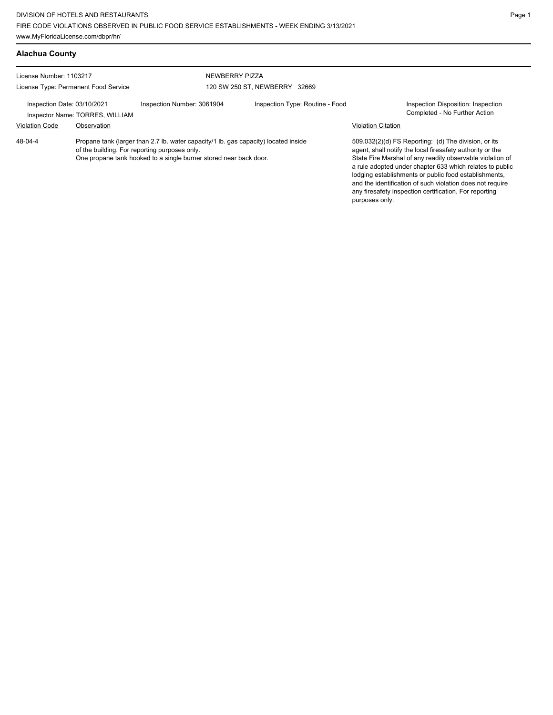| <b>Alachua County</b>                                                                                                                                                                                                |             |                                                 |                                 |                           |                                                                                                                                                                                                                                                                                                                                                                                                                            |
|----------------------------------------------------------------------------------------------------------------------------------------------------------------------------------------------------------------------|-------------|-------------------------------------------------|---------------------------------|---------------------------|----------------------------------------------------------------------------------------------------------------------------------------------------------------------------------------------------------------------------------------------------------------------------------------------------------------------------------------------------------------------------------------------------------------------------|
| License Number: 1103217<br>License Type: Permanent Food Service                                                                                                                                                      |             | NEWBERRY PIZZA<br>120 SW 250 ST, NEWBERRY 32669 |                                 |                           |                                                                                                                                                                                                                                                                                                                                                                                                                            |
| Inspection Date: 03/10/2021<br>Inspector Name: TORRES, WILLIAM                                                                                                                                                       |             | Inspection Number: 3061904                      | Inspection Type: Routine - Food |                           | Inspection Disposition: Inspection<br>Completed - No Further Action                                                                                                                                                                                                                                                                                                                                                        |
| <b>Violation Code</b>                                                                                                                                                                                                | Observation |                                                 |                                 | <b>Violation Citation</b> |                                                                                                                                                                                                                                                                                                                                                                                                                            |
| 48-04-4<br>Propane tank (larger than 2.7 lb. water capacity/1 lb. gas capacity) located inside<br>of the building. For reporting purposes only.<br>One propane tank hooked to a single burner stored near back door. |             |                                                 |                                 | purposes only.            | 509.032(2)(d) FS Reporting: (d) The division, or its<br>agent, shall notify the local firesafety authority or the<br>State Fire Marshal of any readily observable violation of<br>a rule adopted under chapter 633 which relates to public<br>lodging establishments or public food establishments,<br>and the identification of such violation does not require<br>any firesafety inspection certification. For reporting |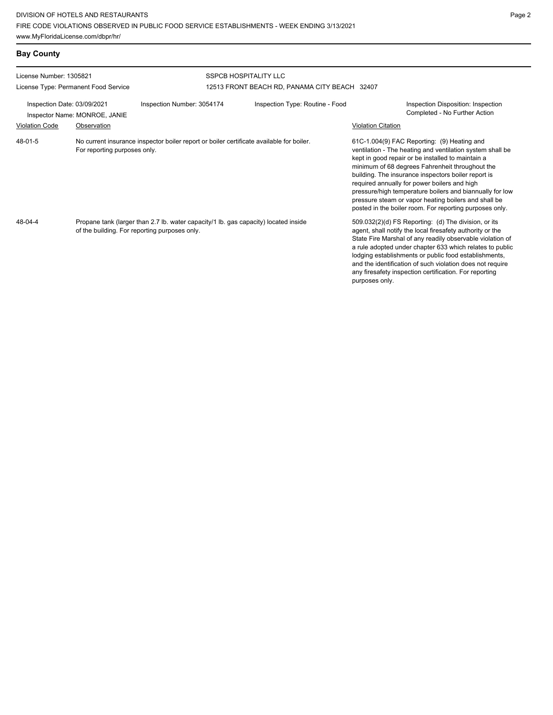| <b>Bay County</b>                    |                               |                                                                                                                                      |                                               |                                                                                                                                                                                                                                                                                                                                                                                                                                                                                                        |
|--------------------------------------|-------------------------------|--------------------------------------------------------------------------------------------------------------------------------------|-----------------------------------------------|--------------------------------------------------------------------------------------------------------------------------------------------------------------------------------------------------------------------------------------------------------------------------------------------------------------------------------------------------------------------------------------------------------------------------------------------------------------------------------------------------------|
| License Number: 1305821              |                               |                                                                                                                                      | <b>SSPCB HOSPITALITY LLC</b>                  |                                                                                                                                                                                                                                                                                                                                                                                                                                                                                                        |
| License Type: Permanent Food Service |                               |                                                                                                                                      | 12513 FRONT BEACH RD, PANAMA CITY BEACH 32407 |                                                                                                                                                                                                                                                                                                                                                                                                                                                                                                        |
| Inspection Date: 03/09/2021          | Inspector Name: MONROE, JANIE | Inspection Number: 3054174                                                                                                           | Inspection Type: Routine - Food               | Inspection Disposition: Inspection<br>Completed - No Further Action                                                                                                                                                                                                                                                                                                                                                                                                                                    |
| <b>Violation Code</b>                | Observation                   |                                                                                                                                      |                                               | <b>Violation Citation</b>                                                                                                                                                                                                                                                                                                                                                                                                                                                                              |
| 48-01-5                              | For reporting purposes only.  | No current insurance inspector boiler report or boiler certificate available for boiler.                                             |                                               | 61C-1.004(9) FAC Reporting: (9) Heating and<br>ventilation - The heating and ventilation system shall be<br>kept in good repair or be installed to maintain a<br>minimum of 68 degrees Fahrenheit throughout the<br>building. The insurance inspectors boiler report is<br>required annually for power boilers and high<br>pressure/high temperature boilers and biannually for low<br>pressure steam or vapor heating boilers and shall be<br>posted in the boiler room. For reporting purposes only. |
| 48-04-4                              |                               | Propane tank (larger than 2.7 lb. water capacity/1 lb. gas capacity) located inside<br>of the building. For reporting purposes only. |                                               | 509.032(2)(d) FS Reporting: (d) The division, or its<br>agent, shall notify the local firesafety authority or the<br>State Fire Marshal of any readily observable violation of<br>a rule adopted under chapter 633 which relates to public<br>lodging establishments or public food establishments,<br>and the identification of such violation does not require<br>any firesafety inspection certification. For reporting<br>purposes only.                                                           |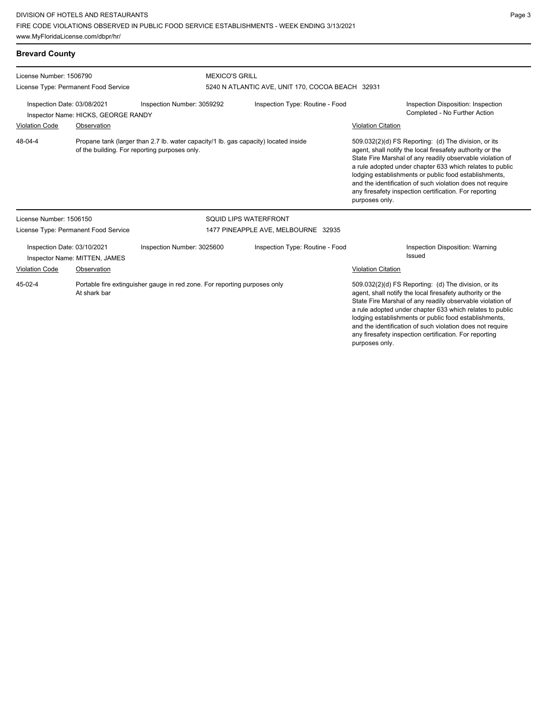| <b>Brevard County</b>                                                                                                                           |                                      |                                                                           |                                                  |                                                                                                                                                                                                                                                                                                                                                                                                                                              |  |  |
|-------------------------------------------------------------------------------------------------------------------------------------------------|--------------------------------------|---------------------------------------------------------------------------|--------------------------------------------------|----------------------------------------------------------------------------------------------------------------------------------------------------------------------------------------------------------------------------------------------------------------------------------------------------------------------------------------------------------------------------------------------------------------------------------------------|--|--|
| License Number: 1506790                                                                                                                         |                                      |                                                                           | <b>MEXICO'S GRILL</b>                            |                                                                                                                                                                                                                                                                                                                                                                                                                                              |  |  |
|                                                                                                                                                 | License Type: Permanent Food Service |                                                                           | 5240 N ATLANTIC AVE, UNIT 170, COCOA BEACH 32931 |                                                                                                                                                                                                                                                                                                                                                                                                                                              |  |  |
| Inspection Date: 03/08/2021                                                                                                                     | Inspector Name: HICKS, GEORGE RANDY  | Inspection Number: 3059292                                                | Inspection Type: Routine - Food                  | Inspection Disposition: Inspection<br>Completed - No Further Action                                                                                                                                                                                                                                                                                                                                                                          |  |  |
| <b>Violation Code</b>                                                                                                                           | Observation                          |                                                                           |                                                  | <b>Violation Citation</b>                                                                                                                                                                                                                                                                                                                                                                                                                    |  |  |
| 48-04-4<br>Propane tank (larger than 2.7 lb. water capacity/1 lb. gas capacity) located inside<br>of the building. For reporting purposes only. |                                      |                                                                           |                                                  | 509.032(2)(d) FS Reporting: (d) The division, or its<br>agent, shall notify the local firesafety authority or the<br>State Fire Marshal of any readily observable violation of<br>a rule adopted under chapter 633 which relates to public<br>lodging establishments or public food establishments,<br>and the identification of such violation does not require<br>any firesafety inspection certification. For reporting<br>purposes only. |  |  |
| License Number: 1506150                                                                                                                         |                                      |                                                                           | SQUID LIPS WATERFRONT                            |                                                                                                                                                                                                                                                                                                                                                                                                                                              |  |  |
|                                                                                                                                                 | License Type: Permanent Food Service |                                                                           | 1477 PINEAPPLE AVE, MELBOURNE 32935              |                                                                                                                                                                                                                                                                                                                                                                                                                                              |  |  |
| Inspection Date: 03/10/2021<br>Inspector Name: MITTEN, JAMES                                                                                    |                                      | Inspection Number: 3025600                                                | Inspection Type: Routine - Food                  | <b>Inspection Disposition: Warning</b><br>Issued                                                                                                                                                                                                                                                                                                                                                                                             |  |  |
| <b>Violation Code</b>                                                                                                                           | Observation                          |                                                                           |                                                  | Violation Citation                                                                                                                                                                                                                                                                                                                                                                                                                           |  |  |
| $45-02-4$                                                                                                                                       | At shark bar                         | Portable fire extinguisher gauge in red zone. For reporting purposes only |                                                  | 509.032(2)(d) FS Reporting: (d) The division, or its<br>agent, shall notify the local firesafety authority or the<br>State Fire Marshal of any readily observable violation of<br>a rule adopted under chapter 633 which relates to public<br>lodging establishments or public food establishments,<br>and the identification of such violation does not require<br>any firesafety inspection certification. For reporting                   |  |  |

purposes only.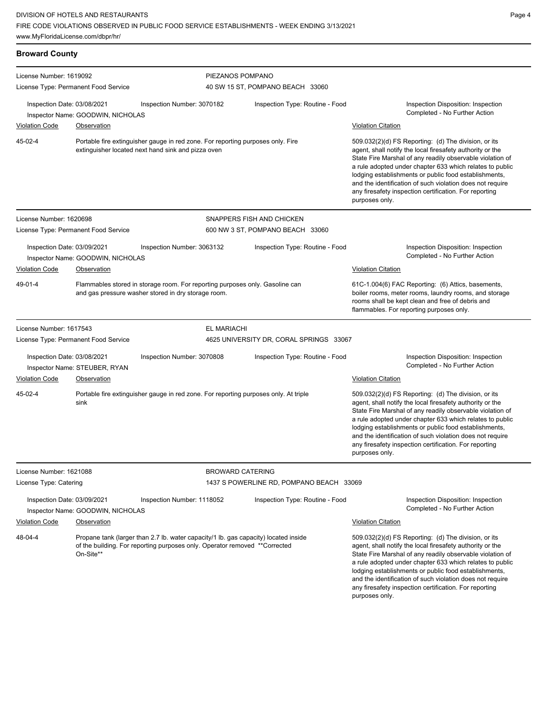| <b>Broward County</b>                                |                                                  |                                                                                                                                                                   |                                          |                                                                                                                                                                                                                                                                                                                                                                                                                                              |  |
|------------------------------------------------------|--------------------------------------------------|-------------------------------------------------------------------------------------------------------------------------------------------------------------------|------------------------------------------|----------------------------------------------------------------------------------------------------------------------------------------------------------------------------------------------------------------------------------------------------------------------------------------------------------------------------------------------------------------------------------------------------------------------------------------------|--|
| License Number: 1619092                              |                                                  | PIEZANOS POMPANO                                                                                                                                                  |                                          |                                                                                                                                                                                                                                                                                                                                                                                                                                              |  |
|                                                      | License Type: Permanent Food Service             |                                                                                                                                                                   | 40 SW 15 ST, POMPANO BEACH 33060         |                                                                                                                                                                                                                                                                                                                                                                                                                                              |  |
| Inspection Date: 03/08/2021<br><b>Violation Code</b> | Inspector Name: GOODWIN, NICHOLAS<br>Observation | Inspection Number: 3070182                                                                                                                                        | Inspection Type: Routine - Food          | Inspection Disposition: Inspection<br>Completed - No Further Action<br><b>Violation Citation</b>                                                                                                                                                                                                                                                                                                                                             |  |
|                                                      |                                                  |                                                                                                                                                                   |                                          |                                                                                                                                                                                                                                                                                                                                                                                                                                              |  |
| 45-02-4                                              |                                                  | Portable fire extinguisher gauge in red zone. For reporting purposes only. Fire<br>extinguisher located next hand sink and pizza oven                             |                                          | 509.032(2)(d) FS Reporting: (d) The division, or its<br>agent, shall notify the local firesafety authority or the<br>State Fire Marshal of any readily observable violation of<br>a rule adopted under chapter 633 which relates to public<br>lodging establishments or public food establishments,<br>and the identification of such violation does not require<br>any firesafety inspection certification. For reporting<br>purposes only. |  |
| License Number: 1620698                              |                                                  |                                                                                                                                                                   | SNAPPERS FISH AND CHICKEN                |                                                                                                                                                                                                                                                                                                                                                                                                                                              |  |
|                                                      | License Type: Permanent Food Service             |                                                                                                                                                                   | 600 NW 3 ST, POMPANO BEACH 33060         |                                                                                                                                                                                                                                                                                                                                                                                                                                              |  |
| Inspection Date: 03/09/2021                          | Inspector Name: GOODWIN, NICHOLAS                | Inspection Number: 3063132                                                                                                                                        | Inspection Type: Routine - Food          | Inspection Disposition: Inspection<br>Completed - No Further Action                                                                                                                                                                                                                                                                                                                                                                          |  |
| <b>Violation Code</b>                                | Observation                                      |                                                                                                                                                                   |                                          | <b>Violation Citation</b>                                                                                                                                                                                                                                                                                                                                                                                                                    |  |
| 49-01-4                                              |                                                  | Flammables stored in storage room. For reporting purposes only. Gasoline can<br>and gas pressure washer stored in dry storage room.                               |                                          | 61C-1.004(6) FAC Reporting: (6) Attics, basements,<br>boiler rooms, meter rooms, laundry rooms, and storage<br>rooms shall be kept clean and free of debris and<br>flammables. For reporting purposes only.                                                                                                                                                                                                                                  |  |
| License Number: 1617543                              |                                                  | <b>EL MARIACHI</b>                                                                                                                                                |                                          |                                                                                                                                                                                                                                                                                                                                                                                                                                              |  |
|                                                      | License Type: Permanent Food Service             |                                                                                                                                                                   | 4625 UNIVERSITY DR, CORAL SPRINGS 33067  |                                                                                                                                                                                                                                                                                                                                                                                                                                              |  |
| Inspection Date: 03/08/2021                          | Inspector Name: STEUBER, RYAN                    | Inspection Number: 3070808                                                                                                                                        | Inspection Type: Routine - Food          | Inspection Disposition: Inspection<br>Completed - No Further Action                                                                                                                                                                                                                                                                                                                                                                          |  |
| <b>Violation Code</b>                                | <b>Observation</b>                               |                                                                                                                                                                   |                                          | <b>Violation Citation</b>                                                                                                                                                                                                                                                                                                                                                                                                                    |  |
| 45-02-4                                              | sink                                             | Portable fire extinguisher gauge in red zone. For reporting purposes only. At triple                                                                              |                                          | 509.032(2)(d) FS Reporting: (d) The division, or its<br>agent, shall notify the local firesafety authority or the<br>State Fire Marshal of any readily observable violation of<br>a rule adopted under chapter 633 which relates to public<br>lodging establishments or public food establishments,<br>and the identification of such violation does not require<br>any firesafety inspection certification. For reporting<br>purposes only. |  |
| License Number: 1621088                              |                                                  | <b>BROWARD CATERING</b>                                                                                                                                           |                                          |                                                                                                                                                                                                                                                                                                                                                                                                                                              |  |
| License Type: Catering                               |                                                  |                                                                                                                                                                   | 1437 S POWERLINE RD, POMPANO BEACH 33069 |                                                                                                                                                                                                                                                                                                                                                                                                                                              |  |
| Inspection Date: 03/09/2021                          | Inspector Name: GOODWIN, NICHOLAS                | Inspection Number: 1118052                                                                                                                                        | Inspection Type: Routine - Food          | Inspection Disposition: Inspection<br>Completed - No Further Action                                                                                                                                                                                                                                                                                                                                                                          |  |
| <b>Violation Code</b>                                | Observation                                      |                                                                                                                                                                   |                                          | <b>Violation Citation</b>                                                                                                                                                                                                                                                                                                                                                                                                                    |  |
| 48-04-4                                              | On-Site**                                        | Propane tank (larger than 2.7 lb. water capacity/1 lb. gas capacity) located inside<br>of the building. For reporting purposes only. Operator removed **Corrected |                                          | 509.032(2)(d) FS Reporting: (d) The division, or its<br>agent, shall notify the local firesafety authority or the<br>State Fire Marshal of any readily observable violation of<br>a rule adopted under chapter 633 which relates to public<br>lodging establishments or public food establishments,<br>and the identification of such violation does not require<br>any firesafety inspection certification. For reporting<br>purposes only. |  |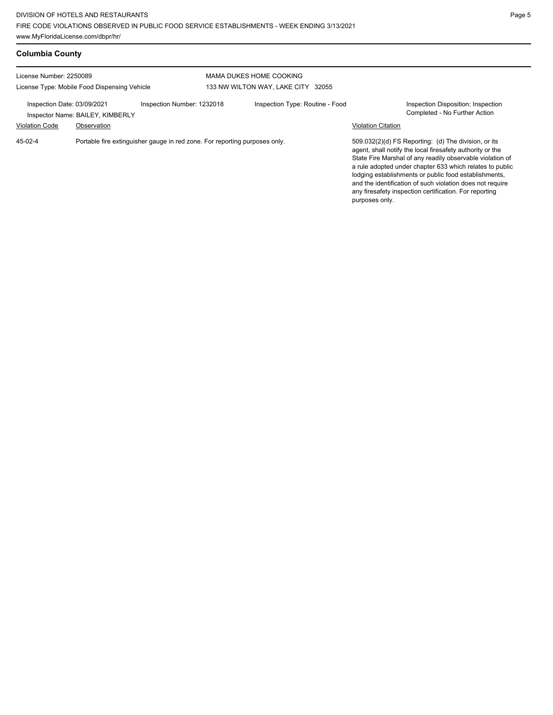| <b>Columbia County</b>                                                  |                                                 |                                                                            |                                                               |                                 |  |                           |                                                                                                                                                                                                                                                                                                                                                                                                                            |  |
|-------------------------------------------------------------------------|-------------------------------------------------|----------------------------------------------------------------------------|---------------------------------------------------------------|---------------------------------|--|---------------------------|----------------------------------------------------------------------------------------------------------------------------------------------------------------------------------------------------------------------------------------------------------------------------------------------------------------------------------------------------------------------------------------------------------------------------|--|
| License Number: 2250089<br>License Type: Mobile Food Dispensing Vehicle |                                                 |                                                                            | MAMA DUKES HOME COOKING<br>133 NW WILTON WAY, LAKE CITY 32055 |                                 |  |                           |                                                                                                                                                                                                                                                                                                                                                                                                                            |  |
| Inspection Date: 03/09/2021<br><b>Violation Code</b>                    | Inspector Name: BAILEY, KIMBERLY<br>Observation | Inspection Number: 1232018                                                 |                                                               | Inspection Type: Routine - Food |  | <b>Violation Citation</b> | Inspection Disposition: Inspection<br>Completed - No Further Action                                                                                                                                                                                                                                                                                                                                                        |  |
| $45-02-4$                                                               |                                                 | Portable fire extinguisher gauge in red zone. For reporting purposes only. |                                                               |                                 |  |                           | 509.032(2)(d) FS Reporting: (d) The division, or its<br>agent, shall notify the local firesafety authority or the<br>State Fire Marshal of any readily observable violation of<br>a rule adopted under chapter 633 which relates to public<br>lodging establishments or public food establishments,<br>and the identification of such violation does not require<br>any firesafety inspection certification. For reporting |  |

purposes only.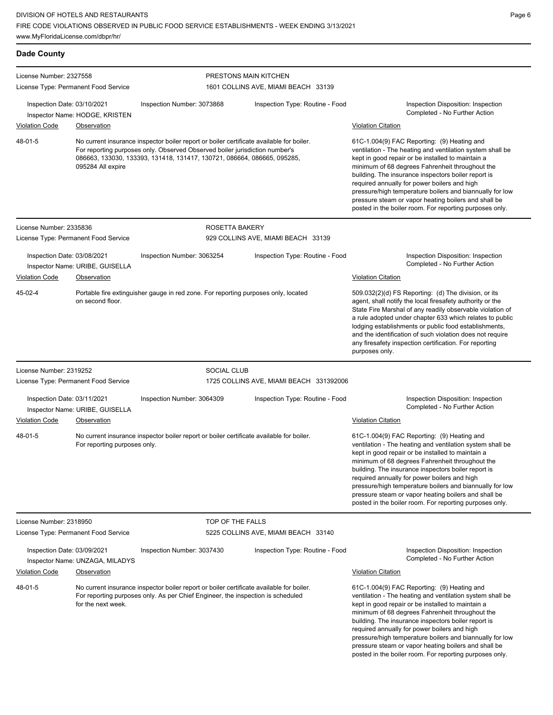|                              | www.MyFloridaLicense.com/dbpr/hr/    |                                                                                                                                                                                                                                                    |                                         |                                                                                                                                                                                                                                                                                                                                                                                                                                                                                                        |
|------------------------------|--------------------------------------|----------------------------------------------------------------------------------------------------------------------------------------------------------------------------------------------------------------------------------------------------|-----------------------------------------|--------------------------------------------------------------------------------------------------------------------------------------------------------------------------------------------------------------------------------------------------------------------------------------------------------------------------------------------------------------------------------------------------------------------------------------------------------------------------------------------------------|
| <b>Dade County</b>           |                                      |                                                                                                                                                                                                                                                    |                                         |                                                                                                                                                                                                                                                                                                                                                                                                                                                                                                        |
| License Number: 2327558      |                                      |                                                                                                                                                                                                                                                    | PRESTONS MAIN KITCHEN                   |                                                                                                                                                                                                                                                                                                                                                                                                                                                                                                        |
|                              | License Type: Permanent Food Service |                                                                                                                                                                                                                                                    | 1601 COLLINS AVE, MIAMI BEACH 33139     |                                                                                                                                                                                                                                                                                                                                                                                                                                                                                                        |
| Inspection Date: 03/10/2021  | Inspector Name: HODGE, KRISTEN       | Inspection Number: 3073868                                                                                                                                                                                                                         | Inspection Type: Routine - Food         | Inspection Disposition: Inspection<br>Completed - No Further Action                                                                                                                                                                                                                                                                                                                                                                                                                                    |
| <b>Violation Code</b>        | Observation                          |                                                                                                                                                                                                                                                    |                                         | <b>Violation Citation</b>                                                                                                                                                                                                                                                                                                                                                                                                                                                                              |
| 48-01-5<br>095284 All expire |                                      | No current insurance inspector boiler report or boiler certificate available for boiler.<br>For reporting purposes only. Observed Observed boiler jurisdiction number's<br>086663, 133030, 133393, 131418, 131417, 130721, 086664, 086665, 095285, |                                         | 61C-1.004(9) FAC Reporting: (9) Heating and<br>ventilation - The heating and ventilation system shall be<br>kept in good repair or be installed to maintain a<br>minimum of 68 degrees Fahrenheit throughout the<br>building. The insurance inspectors boiler report is<br>required annually for power boilers and high<br>pressure/high temperature boilers and biannually for low<br>pressure steam or vapor heating boilers and shall be<br>posted in the boiler room. For reporting purposes only. |
| License Number: 2335836      |                                      | ROSETTA BAKERY                                                                                                                                                                                                                                     |                                         |                                                                                                                                                                                                                                                                                                                                                                                                                                                                                                        |
|                              | License Type: Permanent Food Service |                                                                                                                                                                                                                                                    | 929 COLLINS AVE, MIAMI BEACH 33139      |                                                                                                                                                                                                                                                                                                                                                                                                                                                                                                        |
| Inspection Date: 03/08/2021  | Inspector Name: URIBE, GUISELLA      | Inspection Number: 3063254                                                                                                                                                                                                                         | Inspection Type: Routine - Food         | Inspection Disposition: Inspection<br>Completed - No Further Action                                                                                                                                                                                                                                                                                                                                                                                                                                    |
| <b>Violation Code</b>        | Observation                          |                                                                                                                                                                                                                                                    |                                         | <b>Violation Citation</b>                                                                                                                                                                                                                                                                                                                                                                                                                                                                              |
| 45-02-4                      | on second floor.                     | Portable fire extinguisher gauge in red zone. For reporting purposes only, located                                                                                                                                                                 |                                         | 509.032(2)(d) FS Reporting: (d) The division, or its<br>agent, shall notify the local firesafety authority or the<br>State Fire Marshal of any readily observable violation of<br>a rule adopted under chapter 633 which relates to public<br>lodging establishments or public food establishments,<br>and the identification of such violation does not require<br>any firesafety inspection certification. For reporting<br>purposes only.                                                           |
| License Number: 2319252      |                                      | <b>SOCIAL CLUB</b>                                                                                                                                                                                                                                 |                                         |                                                                                                                                                                                                                                                                                                                                                                                                                                                                                                        |
|                              | License Type: Permanent Food Service |                                                                                                                                                                                                                                                    | 1725 COLLINS AVE, MIAMI BEACH 331392006 |                                                                                                                                                                                                                                                                                                                                                                                                                                                                                                        |
| Inspection Date: 03/11/2021  | Inspector Name: URIBE, GUISELLA      | Inspection Number: 3064309                                                                                                                                                                                                                         | Inspection Type: Routine - Food         | Inspection Disposition: Inspection<br>Completed - No Further Action                                                                                                                                                                                                                                                                                                                                                                                                                                    |
| <b>Violation Code</b>        | Observation                          |                                                                                                                                                                                                                                                    |                                         | <b>Violation Citation</b>                                                                                                                                                                                                                                                                                                                                                                                                                                                                              |
| 48-01-5                      | For reporting purposes only.         | No current insurance inspector boiler report or boiler certificate available for boiler.                                                                                                                                                           |                                         | 61C-1.004(9) FAC Reporting: (9) Heating and<br>ventilation - The heating and ventilation system shall be<br>kept in good repair or be installed to maintain a<br>minimum of 68 degrees Fahrenheit throughout the<br>building. The insurance inspectors boiler report is<br>required annually for power boilers and high<br>pressure/high temperature boilers and biannually for low<br>pressure steam or vapor heating boilers and shall be<br>posted in the boiler room. For reporting purposes only. |
| License Number: 2318950      |                                      | TOP OF THE FALLS                                                                                                                                                                                                                                   |                                         |                                                                                                                                                                                                                                                                                                                                                                                                                                                                                                        |
|                              | License Type: Permanent Food Service |                                                                                                                                                                                                                                                    | 5225 COLLINS AVE, MIAMI BEACH 33140     |                                                                                                                                                                                                                                                                                                                                                                                                                                                                                                        |
| Inspection Date: 03/09/2021  | Inspector Name: UNZAGA, MILADYS      | Inspection Number: 3037430                                                                                                                                                                                                                         | Inspection Type: Routine - Food         | Inspection Disposition: Inspection<br>Completed - No Further Action                                                                                                                                                                                                                                                                                                                                                                                                                                    |
| <b>Violation Code</b>        | <b>Observation</b>                   |                                                                                                                                                                                                                                                    |                                         | <b>Violation Citation</b>                                                                                                                                                                                                                                                                                                                                                                                                                                                                              |
| 48-01-5                      | for the next week.                   | No current insurance inspector boiler report or boiler certificate available for boiler.<br>For reporting purposes only. As per Chief Engineer, the inspection is scheduled                                                                        |                                         | 61C-1.004(9) FAC Reporting: (9) Heating and<br>ventilation - The heating and ventilation system shall be<br>kept in good repair or be installed to maintain a<br>minimum of 68 degrees Fahrenheit throughout the<br>building. The insurance inspectors boiler report is<br>required annually for power boilers and high<br>pressure/high temperature boilers and biannually for low<br>pressure steam or vapor heating boilers and shall be<br>posted in the boiler room. For reporting purposes only. |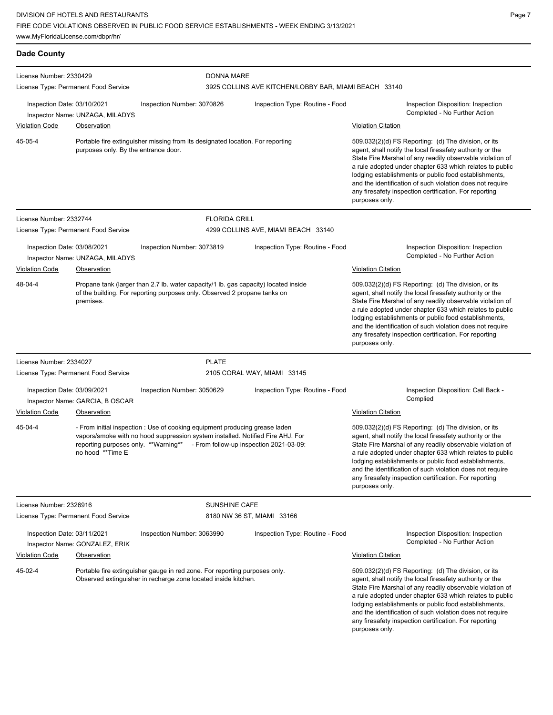| <b>Dade County</b>                                              |                                      |                                                                                                                                                                                                                                               |                                                                            |                                                                                                                                                                                                                                                                                                                                                                                                                                              |  |  |
|-----------------------------------------------------------------|--------------------------------------|-----------------------------------------------------------------------------------------------------------------------------------------------------------------------------------------------------------------------------------------------|----------------------------------------------------------------------------|----------------------------------------------------------------------------------------------------------------------------------------------------------------------------------------------------------------------------------------------------------------------------------------------------------------------------------------------------------------------------------------------------------------------------------------------|--|--|
| License Number: 2330429<br>License Type: Permanent Food Service |                                      |                                                                                                                                                                                                                                               | <b>DONNA MARE</b><br>3925 COLLINS AVE KITCHEN/LOBBY BAR, MIAMI BEACH 33140 |                                                                                                                                                                                                                                                                                                                                                                                                                                              |  |  |
| Inspection Date: 03/10/2021                                     | Inspector Name: UNZAGA, MILADYS      | Inspection Number: 3070826<br>Inspection Type: Routine - Food                                                                                                                                                                                 |                                                                            | Inspection Disposition: Inspection<br>Completed - No Further Action                                                                                                                                                                                                                                                                                                                                                                          |  |  |
| <b>Violation Code</b>                                           | Observation                          |                                                                                                                                                                                                                                               |                                                                            | <b>Violation Citation</b>                                                                                                                                                                                                                                                                                                                                                                                                                    |  |  |
| 45-05-4                                                         | purposes only. By the entrance door. | Portable fire extinguisher missing from its designated location. For reporting                                                                                                                                                                |                                                                            | 509.032(2)(d) FS Reporting: (d) The division, or its<br>agent, shall notify the local firesafety authority or the<br>State Fire Marshal of any readily observable violation of<br>a rule adopted under chapter 633 which relates to public<br>lodging establishments or public food establishments,<br>and the identification of such violation does not require<br>any firesafety inspection certification. For reporting<br>purposes only. |  |  |
| License Number: 2332744                                         |                                      | <b>FLORIDA GRILL</b>                                                                                                                                                                                                                          |                                                                            |                                                                                                                                                                                                                                                                                                                                                                                                                                              |  |  |
| License Type: Permanent Food Service                            |                                      |                                                                                                                                                                                                                                               | 4299 COLLINS AVE, MIAMI BEACH 33140                                        |                                                                                                                                                                                                                                                                                                                                                                                                                                              |  |  |
| Inspection Date: 03/08/2021                                     | Inspector Name: UNZAGA, MILADYS      | Inspection Number: 3073819                                                                                                                                                                                                                    | Inspection Type: Routine - Food                                            | Inspection Disposition: Inspection<br>Completed - No Further Action                                                                                                                                                                                                                                                                                                                                                                          |  |  |
| <b>Violation Code</b>                                           | <b>Observation</b>                   |                                                                                                                                                                                                                                               |                                                                            | <b>Violation Citation</b>                                                                                                                                                                                                                                                                                                                                                                                                                    |  |  |
| 48-04-4                                                         | premises.                            | Propane tank (larger than 2.7 lb. water capacity/1 lb. gas capacity) located inside<br>of the building. For reporting purposes only. Observed 2 propane tanks on                                                                              |                                                                            | 509.032(2)(d) FS Reporting: (d) The division, or its<br>agent, shall notify the local firesafety authority or the<br>State Fire Marshal of any readily observable violation of<br>a rule adopted under chapter 633 which relates to public<br>lodging establishments or public food establishments,<br>and the identification of such violation does not require<br>any firesafety inspection certification. For reporting<br>purposes only. |  |  |
| License Number: 2334027                                         |                                      | <b>PLATE</b>                                                                                                                                                                                                                                  |                                                                            |                                                                                                                                                                                                                                                                                                                                                                                                                                              |  |  |
|                                                                 | License Type: Permanent Food Service |                                                                                                                                                                                                                                               | 2105 CORAL WAY, MIAMI 33145                                                |                                                                                                                                                                                                                                                                                                                                                                                                                                              |  |  |
| Inspection Date: 03/09/2021                                     | Inspector Name: GARCIA, B OSCAR      | Inspection Number: 3050629                                                                                                                                                                                                                    | Inspection Type: Routine - Food                                            | Inspection Disposition: Call Back -<br>Complied                                                                                                                                                                                                                                                                                                                                                                                              |  |  |
| <b>Violation Code</b>                                           | Observation                          |                                                                                                                                                                                                                                               |                                                                            | <b>Violation Citation</b>                                                                                                                                                                                                                                                                                                                                                                                                                    |  |  |
| 45-04-4                                                         | no hood **Time E                     | - From initial inspection : Use of cooking equipment producing grease laden<br>vapors/smoke with no hood suppression system installed. Notified Fire AHJ. For<br>reporting purposes only. **Warning** - From follow-up inspection 2021-03-09: |                                                                            | 509.032(2)(d) FS Reporting: (d) The division, or its<br>agent, shall notify the local firesafety authority or the<br>State Fire Marshal of any readily observable violation of<br>a rule adopted under chapter 633 which relates to public<br>lodging establishments or public food establishments,<br>and the identification of such violation does not require<br>any firesafety inspection certification. For reporting<br>purposes only. |  |  |
| License Number: 2326916                                         |                                      | <b>SUNSHINE CAFE</b>                                                                                                                                                                                                                          |                                                                            |                                                                                                                                                                                                                                                                                                                                                                                                                                              |  |  |
| License Type: Permanent Food Service                            |                                      |                                                                                                                                                                                                                                               | 8180 NW 36 ST, MIAMI 33166                                                 |                                                                                                                                                                                                                                                                                                                                                                                                                                              |  |  |
| Inspection Date: 03/11/2021                                     | Inspector Name: GONZALEZ, ERIK       | Inspection Number: 3063990                                                                                                                                                                                                                    | Inspection Type: Routine - Food                                            | Inspection Disposition: Inspection<br>Completed - No Further Action                                                                                                                                                                                                                                                                                                                                                                          |  |  |
| <b>Violation Code</b>                                           | <b>Observation</b>                   |                                                                                                                                                                                                                                               |                                                                            | <b>Violation Citation</b>                                                                                                                                                                                                                                                                                                                                                                                                                    |  |  |
| 45-02-4                                                         |                                      | Portable fire extinguisher gauge in red zone. For reporting purposes only.<br>Observed extinguisher in recharge zone located inside kitchen.                                                                                                  |                                                                            | 509.032(2)(d) FS Reporting: (d) The division, or its<br>agent, shall notify the local firesafety authority or the<br>State Fire Marshal of any readily observable violation of<br>a rule adopted under chapter 633 which relates to public<br>lodging establishments or public food establishments,<br>and the identification of such violation does not require<br>any firesafety inspection certification. For reporting<br>purposes only. |  |  |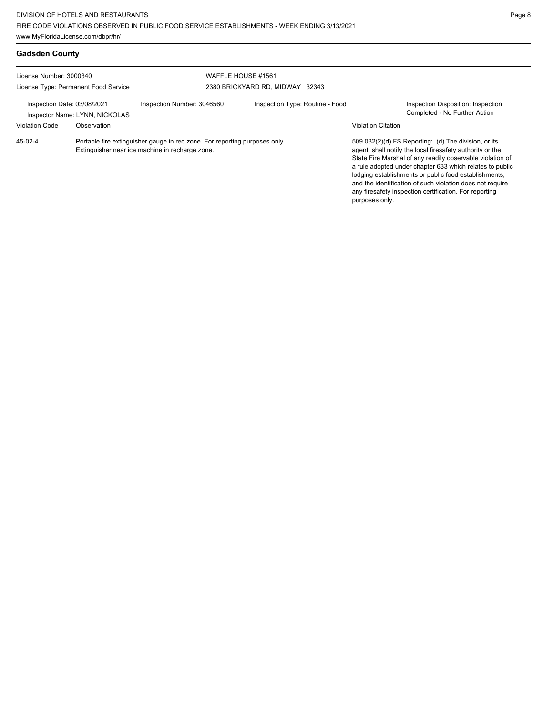| <b>Gadsden County</b>                                           |  |                                                                                                                               |                                                       |                           |                                                                                                                                                                                                                                                                                                       |
|-----------------------------------------------------------------|--|-------------------------------------------------------------------------------------------------------------------------------|-------------------------------------------------------|---------------------------|-------------------------------------------------------------------------------------------------------------------------------------------------------------------------------------------------------------------------------------------------------------------------------------------------------|
| License Number: 3000340<br>License Type: Permanent Food Service |  |                                                                                                                               | WAFFLE HOUSE #1561<br>2380 BRICKYARD RD, MIDWAY 32343 |                           |                                                                                                                                                                                                                                                                                                       |
| Inspection Date: 03/08/2021<br>Inspector Name: LYNN, NICKOLAS   |  | Inspection Number: 3046560                                                                                                    | Inspection Type: Routine - Food                       |                           | Inspection Disposition: Inspection<br>Completed - No Further Action                                                                                                                                                                                                                                   |
| <b>Violation Code</b><br>Observation<br>45-02-4                 |  | Portable fire extinguisher gauge in red zone. For reporting purposes only.<br>Extinguisher near ice machine in recharge zone. |                                                       | <b>Violation Citation</b> | 509.032(2)(d) FS Reporting: (d) The division, or its<br>agent, shall notify the local firesafety authority or the                                                                                                                                                                                     |
|                                                                 |  |                                                                                                                               |                                                       | purposes only.            | State Fire Marshal of any readily observable violation of<br>a rule adopted under chapter 633 which relates to public<br>lodging establishments or public food establishments,<br>and the identification of such violation does not require<br>any firesafety inspection certification. For reporting |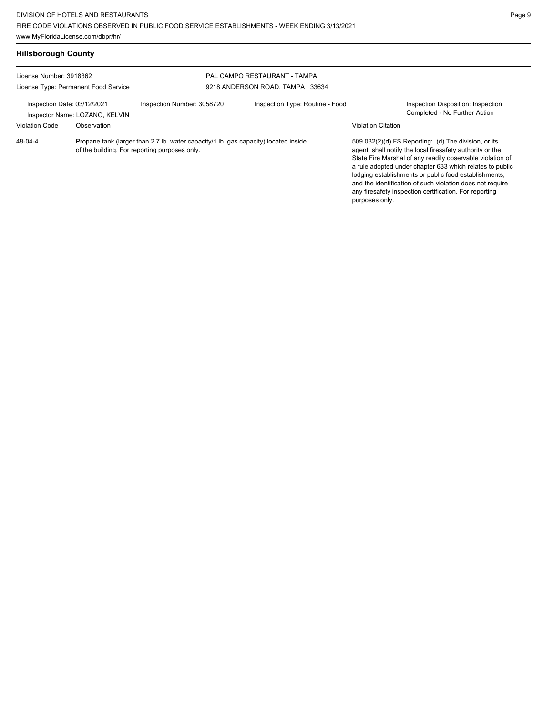| <b>Hillsborough County</b>                                                                                                                                               |  |                            |                                                                 |                           |                                                                                                                                                                                                                                                                                                                                                                                                                            |
|--------------------------------------------------------------------------------------------------------------------------------------------------------------------------|--|----------------------------|-----------------------------------------------------------------|---------------------------|----------------------------------------------------------------------------------------------------------------------------------------------------------------------------------------------------------------------------------------------------------------------------------------------------------------------------------------------------------------------------------------------------------------------------|
| License Number: 3918362<br>License Type: Permanent Food Service<br>Inspection Date: 03/12/2021<br>Inspector Name: LOZANO, KELVIN<br><b>Violation Code</b><br>Observation |  |                            | PAL CAMPO RESTAURANT - TAMPA<br>9218 ANDERSON ROAD, TAMPA 33634 |                           |                                                                                                                                                                                                                                                                                                                                                                                                                            |
|                                                                                                                                                                          |  | Inspection Number: 3058720 | Inspection Type: Routine - Food                                 | <b>Violation Citation</b> | Inspection Disposition: Inspection<br>Completed - No Further Action                                                                                                                                                                                                                                                                                                                                                        |
| $48 - 04 - 4$<br>Propane tank (larger than 2.7 lb. water capacity/1 lb. gas capacity) located inside<br>of the building. For reporting purposes only.                    |  |                            |                                                                 | purposes only.            | 509.032(2)(d) FS Reporting: (d) The division, or its<br>agent, shall notify the local firesafety authority or the<br>State Fire Marshal of any readily observable violation of<br>a rule adopted under chapter 633 which relates to public<br>lodging establishments or public food establishments,<br>and the identification of such violation does not require<br>any firesafety inspection certification. For reporting |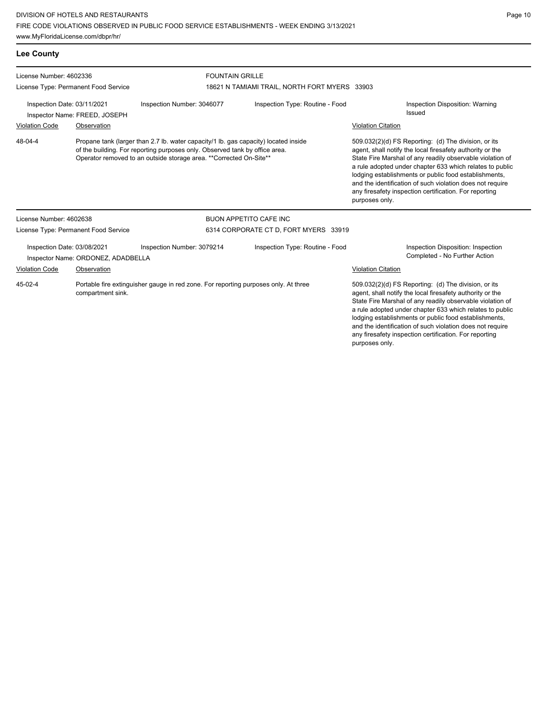**Lee County** License Number: 4602336 License Type: Permanent Food Service FOUNTAIN GRILLE 18621 N TAMIAMI TRAIL, NORTH FORT MYERS 33903 Inspection Date: 03/11/2021 Inspection Number: 3046077 Inspection Type: Routine - Food Inspection Disposition: Warning Inspector Name: FREED, JOSEPH Violation Code Observation Violation Citation Propane tank (larger than 2.7 lb. water capacity/1 lb. gas capacity) located inside of the building. For reporting purposes only. Observed tank by office area. Operator removed to an outside storage area. \*\*Corrected On-Site\*\* 509.032(2)(d) FS Reporting: (d) The division, or its agent, shall notify the local firesafety authority or the State Fire Marshal of any readily observable violation of a rule adopted under chapter 633 which relates to public lodging establishments or public food establishments, and the identification of such violation does not require any firesafety inspection certification. For reporting purposes only. 48-04-4 License Number: 4602638 License Type: Permanent Food Service BUON APPETITO CAFE INC 6314 CORPORATE CT D, FORT MYERS 33919 Inspection Date: 03/08/2021 Inspection Number: 3079214 Inspection Type: Routine - Food Inspection Disposition: Inspection Inspector Name: ORDONEZ, ADADBELLA **Completed - No Further Action** Violation Code Observation Violation Citation Portable fire extinguisher gauge in red zone. For reporting purposes only. At three compartment sink. 509.032(2)(d) FS Reporting: (d) The division, or its agent, shall notify the local firesafety authority or the State Fire Marshal of any readily observable violation of a rule adopted under chapter 633 which relates to public 45-02-4

lodging establishments or public food establishments, and the identification of such violation does not require any firesafety inspection certification. For reporting

purposes only.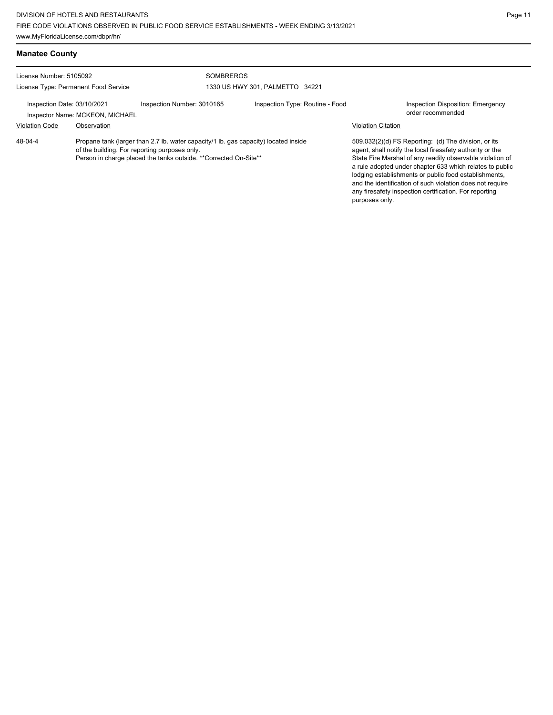| <b>Manatee County</b>                                           |                                                |                                                                                                                                                                                                          |                                 |                           |                                                                                                                                                                                                                                                                                                                                                                                                                            |
|-----------------------------------------------------------------|------------------------------------------------|----------------------------------------------------------------------------------------------------------------------------------------------------------------------------------------------------------|---------------------------------|---------------------------|----------------------------------------------------------------------------------------------------------------------------------------------------------------------------------------------------------------------------------------------------------------------------------------------------------------------------------------------------------------------------------------------------------------------------|
| License Number: 5105092<br>License Type: Permanent Food Service |                                                | <b>SOMBREROS</b>                                                                                                                                                                                         | 1330 US HWY 301, PALMETTO 34221 |                           |                                                                                                                                                                                                                                                                                                                                                                                                                            |
| Inspection Date: 03/10/2021<br><b>Violation Code</b>            | Inspector Name: MCKEON, MICHAEL<br>Observation | Inspection Number: 3010165                                                                                                                                                                               | Inspection Type: Routine - Food | <b>Violation Citation</b> | <b>Inspection Disposition: Emergency</b><br>order recommended                                                                                                                                                                                                                                                                                                                                                              |
| 48-04-4                                                         |                                                | Propane tank (larger than 2.7 lb. water capacity/1 lb. gas capacity) located inside<br>of the building. For reporting purposes only.<br>Person in charge placed the tanks outside. **Corrected On-Site** |                                 | purposes only.            | 509.032(2)(d) FS Reporting: (d) The division, or its<br>agent, shall notify the local firesafety authority or the<br>State Fire Marshal of any readily observable violation of<br>a rule adopted under chapter 633 which relates to public<br>lodging establishments or public food establishments,<br>and the identification of such violation does not require<br>any firesafety inspection certification. For reporting |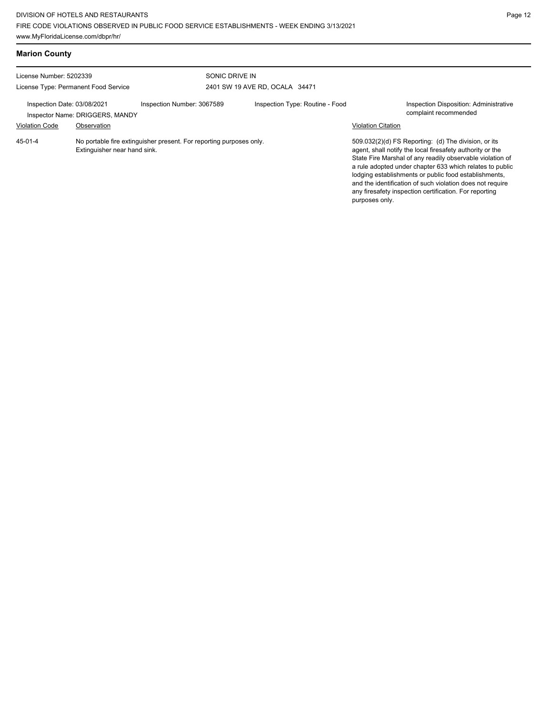| <b>Marion County</b>                                                                                                                                                      |                              |                                                                     |                                                  |                                                                                              |                                                                                                                                                                                                                                                                                                                                                                                                                            |
|---------------------------------------------------------------------------------------------------------------------------------------------------------------------------|------------------------------|---------------------------------------------------------------------|--------------------------------------------------|----------------------------------------------------------------------------------------------|----------------------------------------------------------------------------------------------------------------------------------------------------------------------------------------------------------------------------------------------------------------------------------------------------------------------------------------------------------------------------------------------------------------------------|
| License Number: 5202339<br>License Type: Permanent Food Service<br>Inspection Date: 03/08/2021<br>Inspector Name: DRIGGERS, MANDY<br><b>Violation Code</b><br>Observation |                              |                                                                     | SONIC DRIVE IN<br>2401 SW 19 AVE RD, OCALA 34471 |                                                                                              |                                                                                                                                                                                                                                                                                                                                                                                                                            |
|                                                                                                                                                                           |                              | Inspection Number: 3067589                                          | Inspection Type: Routine - Food                  | Inspection Disposition: Administrative<br>complaint recommended<br><b>Violation Citation</b> |                                                                                                                                                                                                                                                                                                                                                                                                                            |
| 45-01-4                                                                                                                                                                   | Extinguisher near hand sink. | No portable fire extinguisher present. For reporting purposes only. |                                                  | purposes only.                                                                               | 509.032(2)(d) FS Reporting: (d) The division, or its<br>agent, shall notify the local firesafety authority or the<br>State Fire Marshal of any readily observable violation of<br>a rule adopted under chapter 633 which relates to public<br>lodging establishments or public food establishments,<br>and the identification of such violation does not require<br>any firesafety inspection certification. For reporting |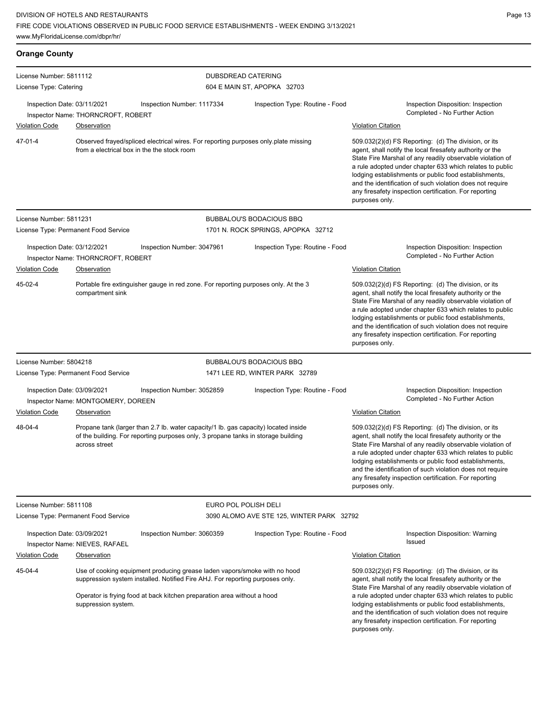| <b>Orange County</b>                                                                                                                                                                                                                                                    |                                                   |                                                                                                                                                                          |                                                                                                                                                                                                                                                                                                                                                                                                                                              |                                                                                                                                                                                                                                                                                                                                                                                                                                              |
|-------------------------------------------------------------------------------------------------------------------------------------------------------------------------------------------------------------------------------------------------------------------------|---------------------------------------------------|--------------------------------------------------------------------------------------------------------------------------------------------------------------------------|----------------------------------------------------------------------------------------------------------------------------------------------------------------------------------------------------------------------------------------------------------------------------------------------------------------------------------------------------------------------------------------------------------------------------------------------|----------------------------------------------------------------------------------------------------------------------------------------------------------------------------------------------------------------------------------------------------------------------------------------------------------------------------------------------------------------------------------------------------------------------------------------------|
| License Number: 5811112<br>License Type: Catering                                                                                                                                                                                                                       |                                                   |                                                                                                                                                                          | DUBSDREAD CATERING<br>604 E MAIN ST, APOPKA 32703                                                                                                                                                                                                                                                                                                                                                                                            |                                                                                                                                                                                                                                                                                                                                                                                                                                              |
| Inspection Date: 03/11/2021<br><b>Violation Code</b>                                                                                                                                                                                                                    | Inspector Name: THORNCROFT, ROBERT<br>Observation | Inspection Number: 1117334                                                                                                                                               | Inspection Type: Routine - Food                                                                                                                                                                                                                                                                                                                                                                                                              | Inspection Disposition: Inspection<br>Completed - No Further Action<br><b>Violation Citation</b>                                                                                                                                                                                                                                                                                                                                             |
| 47-01-4                                                                                                                                                                                                                                                                 | from a electrical box in the the stock room       | Observed frayed/spliced electrical wires. For reporting purposes only plate missing                                                                                      |                                                                                                                                                                                                                                                                                                                                                                                                                                              | 509.032(2)(d) FS Reporting: (d) The division, or its<br>agent, shall notify the local firesafety authority or the<br>State Fire Marshal of any readily observable violation of<br>a rule adopted under chapter 633 which relates to public<br>lodging establishments or public food establishments,<br>and the identification of such violation does not require<br>any firesafety inspection certification. For reporting<br>purposes only. |
| License Number: 5811231                                                                                                                                                                                                                                                 |                                                   |                                                                                                                                                                          | <b>BUBBALOU'S BODACIOUS BBQ</b>                                                                                                                                                                                                                                                                                                                                                                                                              |                                                                                                                                                                                                                                                                                                                                                                                                                                              |
|                                                                                                                                                                                                                                                                         | License Type: Permanent Food Service              |                                                                                                                                                                          | 1701 N. ROCK SPRINGS, APOPKA 32712                                                                                                                                                                                                                                                                                                                                                                                                           |                                                                                                                                                                                                                                                                                                                                                                                                                                              |
| Inspection Date: 03/12/2021<br><b>Violation Code</b>                                                                                                                                                                                                                    | Inspector Name: THORNCROFT, ROBERT<br>Observation | Inspection Number: 3047961                                                                                                                                               | Inspection Type: Routine - Food                                                                                                                                                                                                                                                                                                                                                                                                              | Inspection Disposition: Inspection<br>Completed - No Further Action<br><b>Violation Citation</b>                                                                                                                                                                                                                                                                                                                                             |
| 45-02-4                                                                                                                                                                                                                                                                 | compartment sink                                  | Portable fire extinguisher gauge in red zone. For reporting purposes only. At the 3                                                                                      |                                                                                                                                                                                                                                                                                                                                                                                                                                              | 509.032(2)(d) FS Reporting: (d) The division, or its<br>agent, shall notify the local firesafety authority or the<br>State Fire Marshal of any readily observable violation of<br>a rule adopted under chapter 633 which relates to public<br>lodging establishments or public food establishments,<br>and the identification of such violation does not require<br>any firesafety inspection certification. For reporting<br>purposes only. |
| License Number: 5804218                                                                                                                                                                                                                                                 |                                                   |                                                                                                                                                                          | <b>BUBBALOU'S BODACIOUS BBQ</b>                                                                                                                                                                                                                                                                                                                                                                                                              |                                                                                                                                                                                                                                                                                                                                                                                                                                              |
|                                                                                                                                                                                                                                                                         | License Type: Permanent Food Service              |                                                                                                                                                                          | 1471 LEE RD, WINTER PARK 32789                                                                                                                                                                                                                                                                                                                                                                                                               |                                                                                                                                                                                                                                                                                                                                                                                                                                              |
| Inspection Date: 03/09/2021<br><b>Violation Code</b>                                                                                                                                                                                                                    | Inspector Name: MONTGOMERY, DOREEN<br>Observation | Inspection Number: 3052859                                                                                                                                               | Inspection Type: Routine - Food                                                                                                                                                                                                                                                                                                                                                                                                              | Inspection Disposition: Inspection<br>Completed - No Further Action<br><b>Violation Citation</b>                                                                                                                                                                                                                                                                                                                                             |
| 48-04-4                                                                                                                                                                                                                                                                 | across street                                     | Propane tank (larger than 2.7 lb. water capacity/1 lb. gas capacity) located inside<br>of the building. For reporting purposes only, 3 propane tanks in storage building |                                                                                                                                                                                                                                                                                                                                                                                                                                              | 509.032(2)(d) FS Reporting: (d) The division, or its<br>agent, shall notify the local firesafety authority or the<br>State Fire Marshal of any readily observable violation of<br>a rule adopted under chapter 633 which relates to public<br>lodging establishments or public food establishments,<br>and the identification of such violation does not require<br>any firesafety inspection certification. For reporting<br>purposes only. |
| License Number: 5811108                                                                                                                                                                                                                                                 |                                                   |                                                                                                                                                                          | EURO POL POLISH DELI                                                                                                                                                                                                                                                                                                                                                                                                                         |                                                                                                                                                                                                                                                                                                                                                                                                                                              |
|                                                                                                                                                                                                                                                                         | License Type: Permanent Food Service              |                                                                                                                                                                          | 3090 ALOMO AVE STE 125, WINTER PARK 32792                                                                                                                                                                                                                                                                                                                                                                                                    |                                                                                                                                                                                                                                                                                                                                                                                                                                              |
| Inspection Date: 03/09/2021                                                                                                                                                                                                                                             | Inspector Name: NIEVES, RAFAEL                    | Inspection Number: 3060359                                                                                                                                               | Inspection Type: Routine - Food                                                                                                                                                                                                                                                                                                                                                                                                              | Inspection Disposition: Warning<br>Issued                                                                                                                                                                                                                                                                                                                                                                                                    |
| <b>Violation Code</b>                                                                                                                                                                                                                                                   | Observation                                       |                                                                                                                                                                          |                                                                                                                                                                                                                                                                                                                                                                                                                                              | <b>Violation Citation</b>                                                                                                                                                                                                                                                                                                                                                                                                                    |
| 45-04-4<br>Use of cooking equipment producing grease laden vapors/smoke with no hood<br>suppression system installed. Notified Fire AHJ. For reporting purposes only.<br>Operator is frying food at back kitchen preparation area without a hood<br>suppression system. |                                                   |                                                                                                                                                                          | 509.032(2)(d) FS Reporting: (d) The division, or its<br>agent, shall notify the local firesafety authority or the<br>State Fire Marshal of any readily observable violation of<br>a rule adopted under chapter 633 which relates to public<br>lodging establishments or public food establishments,<br>and the identification of such violation does not require<br>any firesafety inspection certification. For reporting<br>purposes only. |                                                                                                                                                                                                                                                                                                                                                                                                                                              |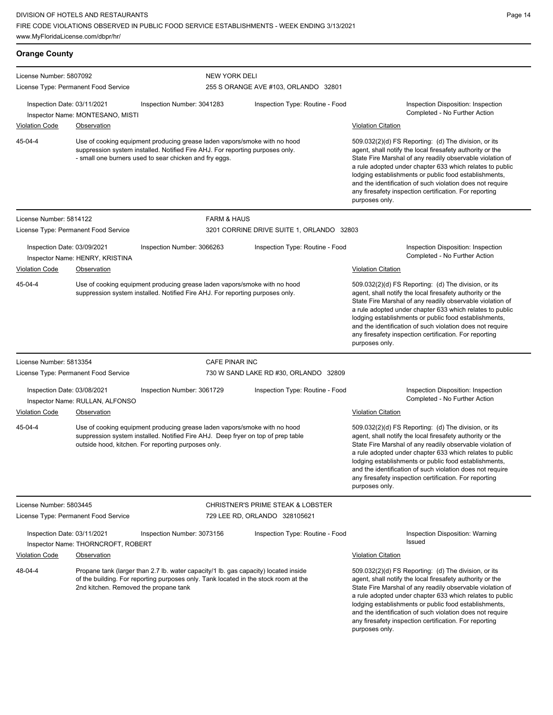| <b>Orange County</b>                                                                                                                                                                                                           |                                                                                                                                                                                                                      |                                                                                                                                                                                                                                                                                                                                                                                                                                              |                                                                    |                                                                                                                                                                                                                                                                                                                                                                                                                                              |
|--------------------------------------------------------------------------------------------------------------------------------------------------------------------------------------------------------------------------------|----------------------------------------------------------------------------------------------------------------------------------------------------------------------------------------------------------------------|----------------------------------------------------------------------------------------------------------------------------------------------------------------------------------------------------------------------------------------------------------------------------------------------------------------------------------------------------------------------------------------------------------------------------------------------|--------------------------------------------------------------------|----------------------------------------------------------------------------------------------------------------------------------------------------------------------------------------------------------------------------------------------------------------------------------------------------------------------------------------------------------------------------------------------------------------------------------------------|
| License Number: 5807092                                                                                                                                                                                                        |                                                                                                                                                                                                                      | <b>NEW YORK DELI</b>                                                                                                                                                                                                                                                                                                                                                                                                                         |                                                                    |                                                                                                                                                                                                                                                                                                                                                                                                                                              |
| License Type: Permanent Food Service                                                                                                                                                                                           |                                                                                                                                                                                                                      |                                                                                                                                                                                                                                                                                                                                                                                                                                              | 255 S ORANGE AVE #103, ORLANDO 32801                               |                                                                                                                                                                                                                                                                                                                                                                                                                                              |
| Inspection Date: 03/11/2021                                                                                                                                                                                                    | Inspector Name: MONTESANO, MISTI                                                                                                                                                                                     | Inspection Number: 3041283                                                                                                                                                                                                                                                                                                                                                                                                                   | Inspection Type: Routine - Food                                    | Inspection Disposition: Inspection<br>Completed - No Further Action                                                                                                                                                                                                                                                                                                                                                                          |
| <b>Violation Code</b>                                                                                                                                                                                                          | Observation                                                                                                                                                                                                          |                                                                                                                                                                                                                                                                                                                                                                                                                                              |                                                                    | <b>Violation Citation</b>                                                                                                                                                                                                                                                                                                                                                                                                                    |
| 45-04-4                                                                                                                                                                                                                        | Use of cooking equipment producing grease laden vapors/smoke with no hood<br>suppression system installed. Notified Fire AHJ. For reporting purposes only.<br>- small one burners used to sear chicken and fry eggs. |                                                                                                                                                                                                                                                                                                                                                                                                                                              |                                                                    | 509.032(2)(d) FS Reporting: (d) The division, or its<br>agent, shall notify the local firesafety authority or the<br>State Fire Marshal of any readily observable violation of<br>a rule adopted under chapter 633 which relates to public<br>lodging establishments or public food establishments,<br>and the identification of such violation does not require<br>any firesafety inspection certification. For reporting<br>purposes only. |
| License Number: 5814122                                                                                                                                                                                                        |                                                                                                                                                                                                                      | <b>FARM &amp; HAUS</b>                                                                                                                                                                                                                                                                                                                                                                                                                       |                                                                    |                                                                                                                                                                                                                                                                                                                                                                                                                                              |
|                                                                                                                                                                                                                                | License Type: Permanent Food Service                                                                                                                                                                                 |                                                                                                                                                                                                                                                                                                                                                                                                                                              | 3201 CORRINE DRIVE SUITE 1, ORLANDO 32803                          |                                                                                                                                                                                                                                                                                                                                                                                                                                              |
| Inspection Date: 03/09/2021<br>Violation Code                                                                                                                                                                                  | Inspector Name: HENRY, KRISTINA<br>Observation                                                                                                                                                                       | Inspection Number: 3066263                                                                                                                                                                                                                                                                                                                                                                                                                   | Inspection Type: Routine - Food                                    | Inspection Disposition: Inspection<br>Completed - No Further Action<br><b>Violation Citation</b>                                                                                                                                                                                                                                                                                                                                             |
| 45-04-4                                                                                                                                                                                                                        | Use of cooking equipment producing grease laden vapors/smoke with no hood<br>suppression system installed. Notified Fire AHJ. For reporting purposes only.                                                           |                                                                                                                                                                                                                                                                                                                                                                                                                                              |                                                                    | 509.032(2)(d) FS Reporting: (d) The division, or its<br>agent, shall notify the local firesafety authority or the<br>State Fire Marshal of any readily observable violation of<br>a rule adopted under chapter 633 which relates to public<br>lodging establishments or public food establishments,<br>and the identification of such violation does not require<br>any firesafety inspection certification. For reporting<br>purposes only. |
| License Number: 5813354                                                                                                                                                                                                        |                                                                                                                                                                                                                      | <b>CAFE PINAR INC</b>                                                                                                                                                                                                                                                                                                                                                                                                                        |                                                                    |                                                                                                                                                                                                                                                                                                                                                                                                                                              |
|                                                                                                                                                                                                                                | License Type: Permanent Food Service                                                                                                                                                                                 |                                                                                                                                                                                                                                                                                                                                                                                                                                              | 730 W SAND LAKE RD #30, ORLANDO 32809                              |                                                                                                                                                                                                                                                                                                                                                                                                                                              |
| Inspection Date: 03/08/2021                                                                                                                                                                                                    | Inspector Name: RULLAN, ALFONSO                                                                                                                                                                                      | Inspection Number: 3061729                                                                                                                                                                                                                                                                                                                                                                                                                   | Inspection Type: Routine - Food                                    | Inspection Disposition: Inspection<br>Completed - No Further Action                                                                                                                                                                                                                                                                                                                                                                          |
| <b>Violation Code</b>                                                                                                                                                                                                          | <b>Observation</b>                                                                                                                                                                                                   |                                                                                                                                                                                                                                                                                                                                                                                                                                              |                                                                    | <b>Violation Citation</b>                                                                                                                                                                                                                                                                                                                                                                                                                    |
| 45-04-4                                                                                                                                                                                                                        |                                                                                                                                                                                                                      | Use of cooking equipment producing grease laden vapors/smoke with no hood<br>suppression system installed. Notified Fire AHJ. Deep fryer on top of prep table<br>outside hood, kitchen. For reporting purposes only.                                                                                                                                                                                                                         |                                                                    | 509.032(2)(d) FS Reporting: (d) The division, or its<br>agent, shall notify the local firesafety authority or the<br>State Fire Marshal of any readily observable violation of<br>a rule adopted under chapter 633 which relates to public<br>lodging establishments or public food establishments,<br>and the identification of such violation does not require<br>any firesafety inspection certification. For reporting<br>purposes only. |
| License Number: 5803445                                                                                                                                                                                                        | License Type: Permanent Food Service                                                                                                                                                                                 |                                                                                                                                                                                                                                                                                                                                                                                                                                              | CHRISTNER'S PRIME STEAK & LOBSTER<br>729 LEE RD, ORLANDO 328105621 |                                                                                                                                                                                                                                                                                                                                                                                                                                              |
| Inspection Date: 03/11/2021                                                                                                                                                                                                    | Inspector Name: THORNCROFT, ROBERT                                                                                                                                                                                   | Inspection Number: 3073156                                                                                                                                                                                                                                                                                                                                                                                                                   | Inspection Type: Routine - Food                                    | Inspection Disposition: Warning<br>Issued                                                                                                                                                                                                                                                                                                                                                                                                    |
| <b>Violation Code</b>                                                                                                                                                                                                          | Observation                                                                                                                                                                                                          |                                                                                                                                                                                                                                                                                                                                                                                                                                              |                                                                    | <b>Violation Citation</b>                                                                                                                                                                                                                                                                                                                                                                                                                    |
| 48-04-4<br>Propane tank (larger than 2.7 lb. water capacity/1 lb. gas capacity) located inside<br>of the building. For reporting purposes only. Tank located in the stock room at the<br>2nd kitchen. Removed the propane tank |                                                                                                                                                                                                                      | 509.032(2)(d) FS Reporting: (d) The division, or its<br>agent, shall notify the local firesafety authority or the<br>State Fire Marshal of any readily observable violation of<br>a rule adopted under chapter 633 which relates to public<br>lodging establishments or public food establishments,<br>and the identification of such violation does not require<br>any firesafety inspection certification. For reporting<br>purposes only. |                                                                    |                                                                                                                                                                                                                                                                                                                                                                                                                                              |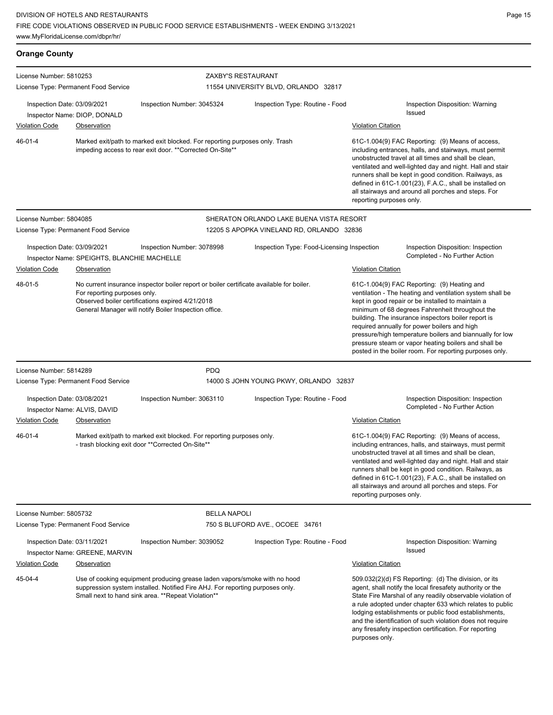| <b>Orange County</b>                                                                                                                                                                                                        |                                                    |                                                                                                                                                                                                                                                                                                                                                                                                                                                                                                                                                                                                                                                                                                                                                 |                                            |                                                                                                                                                                                                                                                                                                                                                                                                                                        |                                                                     |
|-----------------------------------------------------------------------------------------------------------------------------------------------------------------------------------------------------------------------------|----------------------------------------------------|-------------------------------------------------------------------------------------------------------------------------------------------------------------------------------------------------------------------------------------------------------------------------------------------------------------------------------------------------------------------------------------------------------------------------------------------------------------------------------------------------------------------------------------------------------------------------------------------------------------------------------------------------------------------------------------------------------------------------------------------------|--------------------------------------------|----------------------------------------------------------------------------------------------------------------------------------------------------------------------------------------------------------------------------------------------------------------------------------------------------------------------------------------------------------------------------------------------------------------------------------------|---------------------------------------------------------------------|
| License Number: 5810253<br>License Type: Permanent Food Service                                                                                                                                                             |                                                    | ZAXBY'S RESTAURANT<br>11554 UNIVERSITY BLVD, ORLANDO 32817                                                                                                                                                                                                                                                                                                                                                                                                                                                                                                                                                                                                                                                                                      |                                            |                                                                                                                                                                                                                                                                                                                                                                                                                                        |                                                                     |
| Inspection Date: 03/09/2021<br><b>Violation Code</b>                                                                                                                                                                        | Inspector Name: DIOP, DONALD<br><b>Observation</b> | Inspection Number: 3045324                                                                                                                                                                                                                                                                                                                                                                                                                                                                                                                                                                                                                                                                                                                      | Inspection Type: Routine - Food            | <b>Issued</b><br><b>Violation Citation</b>                                                                                                                                                                                                                                                                                                                                                                                             | Inspection Disposition: Warning                                     |
| 46-01-4                                                                                                                                                                                                                     |                                                    | Marked exit/path to marked exit blocked. For reporting purposes only. Trash<br>impeding access to rear exit door. ** Corrected On-Site**                                                                                                                                                                                                                                                                                                                                                                                                                                                                                                                                                                                                        |                                            | 61C-1.004(9) FAC Reporting: (9) Means of access,<br>including entrances, halls, and stairways, must permit<br>unobstructed travel at all times and shall be clean,<br>ventilated and well-lighted day and night. Hall and stair<br>runners shall be kept in good condition. Railways, as<br>defined in 61C-1.001(23), F.A.C., shall be installed on<br>all stairways and around all porches and steps. For<br>reporting purposes only. |                                                                     |
| License Number: 5804085                                                                                                                                                                                                     |                                                    |                                                                                                                                                                                                                                                                                                                                                                                                                                                                                                                                                                                                                                                                                                                                                 | SHERATON ORLANDO LAKE BUENA VISTA RESORT   |                                                                                                                                                                                                                                                                                                                                                                                                                                        |                                                                     |
| License Type: Permanent Food Service                                                                                                                                                                                        |                                                    |                                                                                                                                                                                                                                                                                                                                                                                                                                                                                                                                                                                                                                                                                                                                                 | 12205 S APOPKA VINELAND RD, ORLANDO 32836  |                                                                                                                                                                                                                                                                                                                                                                                                                                        |                                                                     |
| Inspection Date: 03/09/2021                                                                                                                                                                                                 | Inspector Name: SPEIGHTS, BLANCHIE MACHELLE        | Inspection Number: 3078998                                                                                                                                                                                                                                                                                                                                                                                                                                                                                                                                                                                                                                                                                                                      | Inspection Type: Food-Licensing Inspection |                                                                                                                                                                                                                                                                                                                                                                                                                                        | Inspection Disposition: Inspection<br>Completed - No Further Action |
| <b>Violation Code</b>                                                                                                                                                                                                       | Observation                                        |                                                                                                                                                                                                                                                                                                                                                                                                                                                                                                                                                                                                                                                                                                                                                 |                                            | <b>Violation Citation</b>                                                                                                                                                                                                                                                                                                                                                                                                              |                                                                     |
| 48-01-5                                                                                                                                                                                                                     |                                                    | No current insurance inspector boiler report or boiler certificate available for boiler.<br>61C-1.004(9) FAC Reporting: (9) Heating and<br>For reporting purposes only.<br>ventilation - The heating and ventilation system shall be<br>Observed boiler certifications expired 4/21/2018<br>kept in good repair or be installed to maintain a<br>General Manager will notify Boiler Inspection office.<br>minimum of 68 degrees Fahrenheit throughout the<br>building. The insurance inspectors boiler report is<br>required annually for power boilers and high<br>pressure/high temperature boilers and biannually for low<br>pressure steam or vapor heating boilers and shall be<br>posted in the boiler room. For reporting purposes only. |                                            |                                                                                                                                                                                                                                                                                                                                                                                                                                        |                                                                     |
| License Number: 5814289                                                                                                                                                                                                     |                                                    | <b>PDQ</b>                                                                                                                                                                                                                                                                                                                                                                                                                                                                                                                                                                                                                                                                                                                                      |                                            |                                                                                                                                                                                                                                                                                                                                                                                                                                        |                                                                     |
| License Type: Permanent Food Service                                                                                                                                                                                        |                                                    |                                                                                                                                                                                                                                                                                                                                                                                                                                                                                                                                                                                                                                                                                                                                                 | 14000 S JOHN YOUNG PKWY, ORLANDO 32837     |                                                                                                                                                                                                                                                                                                                                                                                                                                        |                                                                     |
| Inspection Date: 03/08/2021<br>Inspector Name: ALVIS, DAVID                                                                                                                                                                 |                                                    | Inspection Number: 3063110                                                                                                                                                                                                                                                                                                                                                                                                                                                                                                                                                                                                                                                                                                                      | Inspection Type: Routine - Food            |                                                                                                                                                                                                                                                                                                                                                                                                                                        | Inspection Disposition: Inspection<br>Completed - No Further Action |
| <b>Violation Code</b>                                                                                                                                                                                                       | Observation                                        |                                                                                                                                                                                                                                                                                                                                                                                                                                                                                                                                                                                                                                                                                                                                                 |                                            | <b>Violation Citation</b>                                                                                                                                                                                                                                                                                                                                                                                                              |                                                                     |
| 46-01-4                                                                                                                                                                                                                     |                                                    | Marked exit/path to marked exit blocked. For reporting purposes only.<br>- trash blocking exit door **Corrected On-Site**                                                                                                                                                                                                                                                                                                                                                                                                                                                                                                                                                                                                                       |                                            | 61C-1.004(9) FAC Reporting: (9) Means of access,<br>including entrances, halls, and stairways, must permit<br>unobstructed travel at all times and shall be clean,<br>ventilated and well-lighted day and night. Hall and stair<br>runners shall be kept in good condition. Railways, as<br>defined in 61C-1.001(23), F.A.C., shall be installed on<br>all stairways and around all porches and steps. For<br>reporting purposes only. |                                                                     |
| License Number: 5805732                                                                                                                                                                                                     |                                                    | <b>BELLA NAPOLI</b>                                                                                                                                                                                                                                                                                                                                                                                                                                                                                                                                                                                                                                                                                                                             |                                            |                                                                                                                                                                                                                                                                                                                                                                                                                                        |                                                                     |
| License Type: Permanent Food Service                                                                                                                                                                                        |                                                    | 750 S BLUFORD AVE., OCOEE 34761                                                                                                                                                                                                                                                                                                                                                                                                                                                                                                                                                                                                                                                                                                                 |                                            |                                                                                                                                                                                                                                                                                                                                                                                                                                        |                                                                     |
| Inspection Date: 03/11/2021                                                                                                                                                                                                 | Inspector Name: GREENE, MARVIN                     | Inspection Number: 3039052                                                                                                                                                                                                                                                                                                                                                                                                                                                                                                                                                                                                                                                                                                                      | Inspection Type: Routine - Food            | <b>Issued</b>                                                                                                                                                                                                                                                                                                                                                                                                                          | Inspection Disposition: Warning                                     |
| <b>Violation Code</b>                                                                                                                                                                                                       | Observation                                        |                                                                                                                                                                                                                                                                                                                                                                                                                                                                                                                                                                                                                                                                                                                                                 |                                            | <b>Violation Citation</b>                                                                                                                                                                                                                                                                                                                                                                                                              |                                                                     |
| 45-04-4<br>Use of cooking equipment producing grease laden vapors/smoke with no hood<br>suppression system installed. Notified Fire AHJ. For reporting purposes only.<br>Small next to hand sink area. **Repeat Violation** |                                                    |                                                                                                                                                                                                                                                                                                                                                                                                                                                                                                                                                                                                                                                                                                                                                 | purposes only.                             | 509.032(2)(d) FS Reporting: (d) The division, or its<br>agent, shall notify the local firesafety authority or the<br>State Fire Marshal of any readily observable violation of<br>a rule adopted under chapter 633 which relates to public<br>lodging establishments or public food establishments,<br>and the identification of such violation does not require<br>any firesafety inspection certification. For reporting             |                                                                     |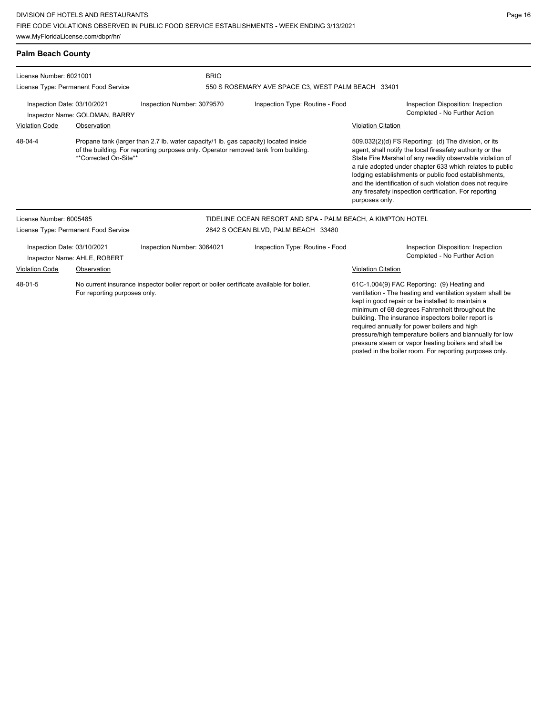| <b>Palm Beach County</b>    |                                      |                                                                                                                                                                           |                                                             |                                                                                                                                                                                                                                                                                                                                                                                                                                                                                                        |
|-----------------------------|--------------------------------------|---------------------------------------------------------------------------------------------------------------------------------------------------------------------------|-------------------------------------------------------------|--------------------------------------------------------------------------------------------------------------------------------------------------------------------------------------------------------------------------------------------------------------------------------------------------------------------------------------------------------------------------------------------------------------------------------------------------------------------------------------------------------|
| License Number: 6021001     |                                      | <b>BRIO</b>                                                                                                                                                               |                                                             |                                                                                                                                                                                                                                                                                                                                                                                                                                                                                                        |
|                             | License Type: Permanent Food Service |                                                                                                                                                                           | 550 S ROSEMARY AVE SPACE C3, WEST PALM BEACH 33401          |                                                                                                                                                                                                                                                                                                                                                                                                                                                                                                        |
| Inspection Date: 03/10/2021 | Inspector Name: GOLDMAN, BARRY       | Inspection Number: 3079570                                                                                                                                                | Inspection Type: Routine - Food                             | Inspection Disposition: Inspection<br>Completed - No Further Action                                                                                                                                                                                                                                                                                                                                                                                                                                    |
| <b>Violation Code</b>       | Observation                          |                                                                                                                                                                           |                                                             | <b>Violation Citation</b>                                                                                                                                                                                                                                                                                                                                                                                                                                                                              |
| 48-04-4                     | **Corrected On-Site**                | Propane tank (larger than 2.7 lb. water capacity/1 lb. gas capacity) located inside<br>of the building. For reporting purposes only. Operator removed tank from building. |                                                             | 509.032(2)(d) FS Reporting: (d) The division, or its<br>agent, shall notify the local firesafety authority or the<br>State Fire Marshal of any readily observable violation of<br>a rule adopted under chapter 633 which relates to public<br>lodging establishments or public food establishments,<br>and the identification of such violation does not require<br>any firesafety inspection certification. For reporting<br>purposes only.                                                           |
| License Number: 6005485     |                                      |                                                                                                                                                                           | TIDELINE OCEAN RESORT AND SPA - PALM BEACH, A KIMPTON HOTEL |                                                                                                                                                                                                                                                                                                                                                                                                                                                                                                        |
|                             | License Type: Permanent Food Service |                                                                                                                                                                           | 2842 S OCEAN BLVD, PALM BEACH 33480                         |                                                                                                                                                                                                                                                                                                                                                                                                                                                                                                        |
| Inspection Date: 03/10/2021 | Inspector Name: AHLE, ROBERT         | Inspection Number: 3064021                                                                                                                                                | Inspection Type: Routine - Food                             | Inspection Disposition: Inspection<br>Completed - No Further Action                                                                                                                                                                                                                                                                                                                                                                                                                                    |
| <b>Violation Code</b>       | Observation                          |                                                                                                                                                                           |                                                             | <b>Violation Citation</b>                                                                                                                                                                                                                                                                                                                                                                                                                                                                              |
| 48-01-5                     | For reporting purposes only.         | No current insurance inspector boiler report or boiler certificate available for boiler.                                                                                  |                                                             | 61C-1.004(9) FAC Reporting: (9) Heating and<br>ventilation - The heating and ventilation system shall be<br>kept in good repair or be installed to maintain a<br>minimum of 68 degrees Fahrenheit throughout the<br>building. The insurance inspectors boiler report is<br>required annually for power boilers and high<br>pressure/high temperature boilers and biannually for low<br>pressure steam or vapor heating boilers and shall be<br>posted in the boiler room. For reporting purposes only. |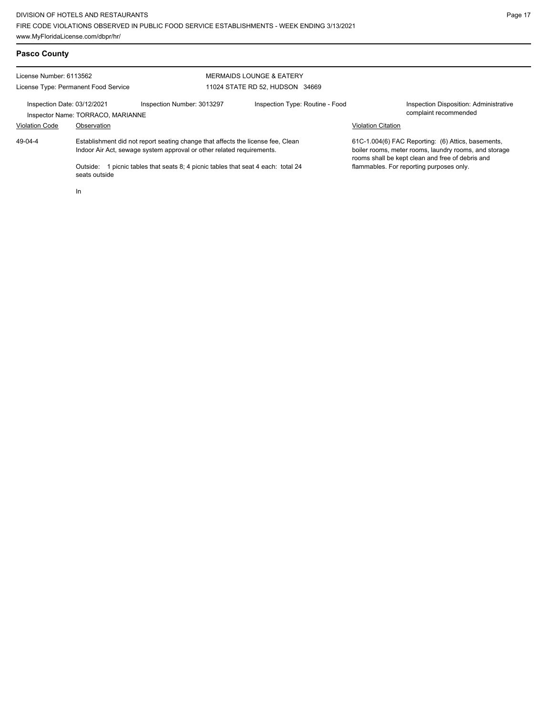| <b>Pasco County</b>                                             |                                          |                                                                                                                                                                                                                                      |                                                                        |                                                                                                                                                                                                             |                                                                 |
|-----------------------------------------------------------------|------------------------------------------|--------------------------------------------------------------------------------------------------------------------------------------------------------------------------------------------------------------------------------------|------------------------------------------------------------------------|-------------------------------------------------------------------------------------------------------------------------------------------------------------------------------------------------------------|-----------------------------------------------------------------|
| License Number: 6113562<br>License Type: Permanent Food Service |                                          |                                                                                                                                                                                                                                      | <b>MERMAIDS LOUNGE &amp; EATERY</b><br>11024 STATE RD 52, HUDSON 34669 |                                                                                                                                                                                                             |                                                                 |
| Inspection Date: 03/12/2021                                     | Inspector Name: TORRACO, MARIANNE        | Inspection Number: 3013297                                                                                                                                                                                                           | Inspection Type: Routine - Food                                        | <b>Violation Citation</b>                                                                                                                                                                                   | Inspection Disposition: Administrative<br>complaint recommended |
| <b>Violation Code</b><br>$49 - 04 - 4$                          | Observation<br>Outside:<br>seats outside | Establishment did not report seating change that affects the license fee, Clean<br>Indoor Air Act, sewage system approval or other related requirements.<br>1 picnic tables that seats 8; 4 picnic tables that seat 4 each: total 24 |                                                                        | 61C-1.004(6) FAC Reporting: (6) Attics, basements,<br>boiler rooms, meter rooms, laundry rooms, and storage<br>rooms shall be kept clean and free of debris and<br>flammables. For reporting purposes only. |                                                                 |
|                                                                 | In                                       |                                                                                                                                                                                                                                      |                                                                        |                                                                                                                                                                                                             |                                                                 |